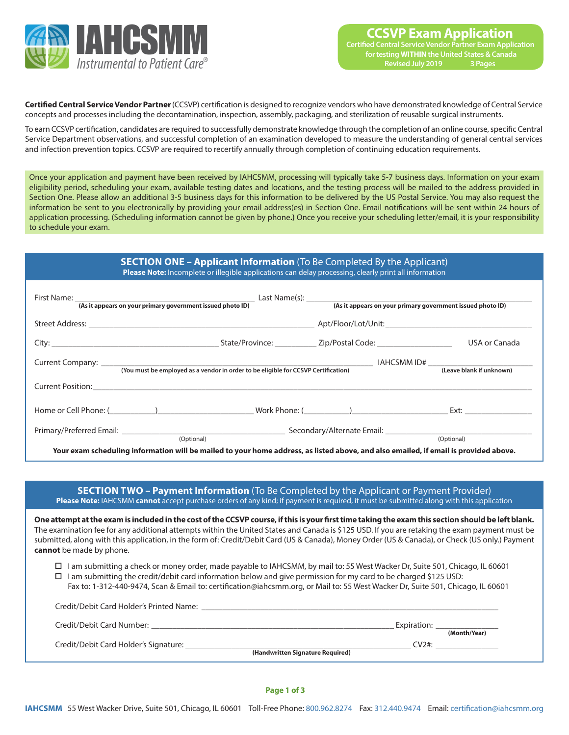

Credit/Debit Card Holder's Printed Name:

**Certified Central Service Vendor Partner** (CCSVP) certification is designed to recognize vendors who have demonstrated knowledge of Central Service concepts and processes including the decontamination, inspection, assembly, packaging, and sterilization of reusable surgical instruments.

To earn CCSVP certification, candidates are required to successfully demonstrate knowledge through the completion of an online course, specific Central Service Department observations, and successful completion of an examination developed to measure the understanding of general central services and infection prevention topics. CCSVP are required to recertify annually through completion of continuing education requirements.

Once your application and payment have been received by IAHCSMM, processing will typically take 5-7 business days. Information on your exam eligibility period, scheduling your exam, available testing dates and locations, and the testing process will be mailed to the address provided in Section One. Please allow an additional 3-5 business days for this information to be delivered by the US Postal Service. You may also request the information be sent to you electronically by providing your email address(es) in Section One. Email notifications will be sent within 24 hours of application processing. (Scheduling information cannot be given by phone**.)** Once you receive your scheduling letter/email, it is your responsibility to schedule your exam.

## **SECTION ONE – Applicant Information** (To Be Completed By the Applicant) **Please Note:** Incomplete or illegible applications can delay processing, clearly print all information

| First Name: <u>(As it appears on your primary government issued photo ID)</u>                                                                                                                                                       |                                                                               |  | (As it appears on your primary government issued photo ID) |
|-------------------------------------------------------------------------------------------------------------------------------------------------------------------------------------------------------------------------------------|-------------------------------------------------------------------------------|--|------------------------------------------------------------|
|                                                                                                                                                                                                                                     |                                                                               |  |                                                            |
|                                                                                                                                                                                                                                     |                                                                               |  | USA or Canada                                              |
|                                                                                                                                                                                                                                     |                                                                               |  |                                                            |
| <b>Current Position:</b> The contract of the contract of the contract of the contract of the contract of the contract of the contract of the contract of the contract of the contract of the contract of the contract of the contra |                                                                               |  |                                                            |
| Home or Cell Phone: (Change of Cell Phone of Cell Phone of Cell Phone of Cell Phone of Cell Phone of Cell Phone of Cell Phone of Cell Phone of Cell Phone of Cell Phone of Cell Phone of Cell Phone of Cell Phone of Cell Phon      |                                                                               |  |                                                            |
|                                                                                                                                                                                                                                     | Primary/Preferred Email: National According to the Secondary/Alternate Email: |  |                                                            |
| Your exam scheduling information will be mailed to your home address, as listed above, and also emailed, if email is provided above.                                                                                                | (Optional)                                                                    |  | (Optional)                                                 |

## **SECTION TWO – Payment Information** (To Be Completed by the Applicant or Payment Provider) **Please Note:** IAHCSMM **cannot** accept purchase orders of any kind; if payment is required, it must be submitted along with this application

**One attempt at the exam is included in the cost of the CCSVP course, if this is your first time taking the exam this section should be left blank.**  The examination fee for any additional attempts within the United States and Canada is \$125 USD. If you are retaking the exam payment must be submitted, along with this application, in the form of: Credit/Debit Card (US & Canada), Money Order (US & Canada), or Check (US only.) Payment **cannot** be made by phone.

- o I am submitting a check or money order, made payable to IAHCSMM, by mail to: 55 West Wacker Dr, Suite 501, Chicago, IL 60601
- $\Box$  I am submitting the credit/debit card information below and give permission for my card to be charged \$125 USD:
	- Fax to: 1-312-440-9474, Scan & Email to: certification@iahcsmm.org, or Mail to: 55 West Wacker Dr, Suite 501, Chicago, IL 60601

| CICQIU DCDIL CUIU I IUIUCI 3 I IIIILCU I VUITIC. |                                           |
|--------------------------------------------------|-------------------------------------------|
| Credit/Debit Card Number:                        | Expiration:<br>(Month/Year)               |
| Credit/Debit Card Holder's Signature:            | CV2#:<br>(Handwritten Signature Required) |
|                                                  |                                           |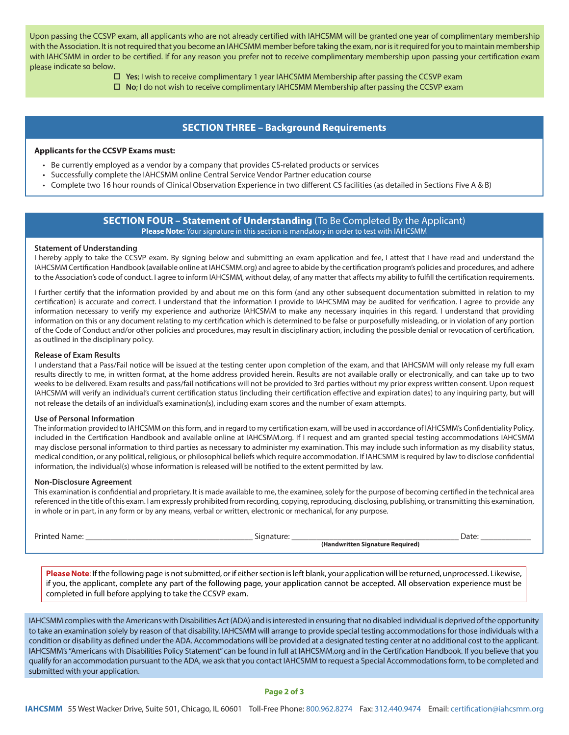Upon passing the CCSVP exam, all applicants who are not already certified with IAHCSMM will be granted one year of complimentary membership with the Association. It is not required that you become an IAHCSMM member before taking the exam, nor is it required for you to maintain membership with IAHCSMM in order to be certified. If for any reason you prefer not to receive complimentary membership upon passing your certification exam please indicate so below.

o **Yes**; I wish to receive complimentary 1 year IAHCSMM Membership after passing the CCSVP exam

□ **No**; I do not wish to receive complimentary IAHCSMM Membership after passing the CCSVP exam

# **SECTION THREE – Background Requirements**

#### **Applicants for the CCSVP Exams must:**

- Be currently employed as a vendor by a company that provides CS-related products or services
- Successfully complete the IAHCSMM online Central Service Vendor Partner education course
- Complete two 16 hour rounds of Clinical Observation Experience in two different CS facilities (as detailed in Sections Five A & B)

## **SECTION FOUR – Statement of Understanding** (To Be Completed By the Applicant) **Please Note:** Your signature in this section is mandatory in order to test with IAHCSMM

#### **Statement of Understanding**

I hereby apply to take the CCSVP exam. By signing below and submitting an exam application and fee, I attest that I have read and understand the IAHCSMM Certification Handbook (available online at IAHCSMM.org) and agree to abide by the certification program's policies and procedures, and adhere to the Association's code of conduct. I agree to inform IAHCSMM, without delay, of any matter that affects my ability to fulfill the certification requirements.

I further certify that the information provided by and about me on this form (and any other subsequent documentation submitted in relation to my certification) is accurate and correct. I understand that the information I provide to IAHCSMM may be audited for verification. I agree to provide any information necessary to verify my experience and authorize IAHCSMM to make any necessary inquiries in this regard. I understand that providing information on this or any document relating to my certification which is determined to be false or purposefully misleading, or in violation of any portion of the Code of Conduct and/or other policies and procedures, may result in disciplinary action, including the possible denial or revocation of certification, as outlined in the disciplinary policy.

### **Release of Exam Results**

I understand that a Pass/Fail notice will be issued at the testing center upon completion of the exam, and that IAHCSMM will only release my full exam results directly to me, in written format, at the home address provided herein. Results are not available orally or electronically, and can take up to two weeks to be delivered. Exam results and pass/fail notifications will not be provided to 3rd parties without my prior express written consent. Upon request IAHCSMM will verify an individual's current certification status (including their certification effective and expiration dates) to any inquiring party, but will not release the details of an individual's examination(s), including exam scores and the number of exam attempts.

#### **Use of Personal Information**

The information provided to IAHCSMM on this form, and in regard to my certification exam, will be used in accordance of IAHCSMM's Confidentiality Policy, included in the Certification Handbook and available online at IAHCSMM.org. If I request and am granted special testing accommodations IAHCSMM may disclose personal information to third parties as necessary to administer my examination. This may include such information as my disability status, medical condition, or any political, religious, or philosophical beliefs which require accommodation. If IAHCSMM is required by law to disclose confidential information, the individual(s) whose information is released will be notified to the extent permitted by law.

#### **Non-Disclosure Agreement**

This examination is confidential and proprietary. It is made available to me, the examinee, solely for the purpose of becoming certified in the technical area referenced in the title of this exam. I am expressly prohibited from recording, copying, reproducing, disclosing, publishing, or transmitting this examination, in whole or in part, in any form or by any means, verbal or written, electronic or mechanical, for any purpose.

| <b>Printed</b><br>Name. | Signature                       | Date: |
|-------------------------|---------------------------------|-------|
|                         | landwritten Signature Reguired) |       |

**Please Note**: If the following page is not submitted, or if either section is left blank, your application will be returned, unprocessed. Likewise, if you, the applicant, complete any part of the following page, your application cannot be accepted. All observation experience must be completed in full before applying to take the CCSVP exam.

IAHCSMM complies with the Americans with Disabilities Act (ADA) and is interested in ensuring that no disabled individual is deprived of the opportunity to take an examination solely by reason of that disability. IAHCSMM will arrange to provide special testing accommodations for those individuals with a condition or disability as defined under the ADA. Accommodations will be provided at a designated testing center at no additional cost to the applicant. IAHCSMM's "Americans with Disabilities Policy Statement" can be found in full at IAHCSMM.org and in the Certification Handbook. If you believe that you qualify for an accommodation pursuant to the ADA, we ask that you contact IAHCSMM to request a Special Accommodations form, to be completed and submitted with your application.

#### **Page 2 of 3**